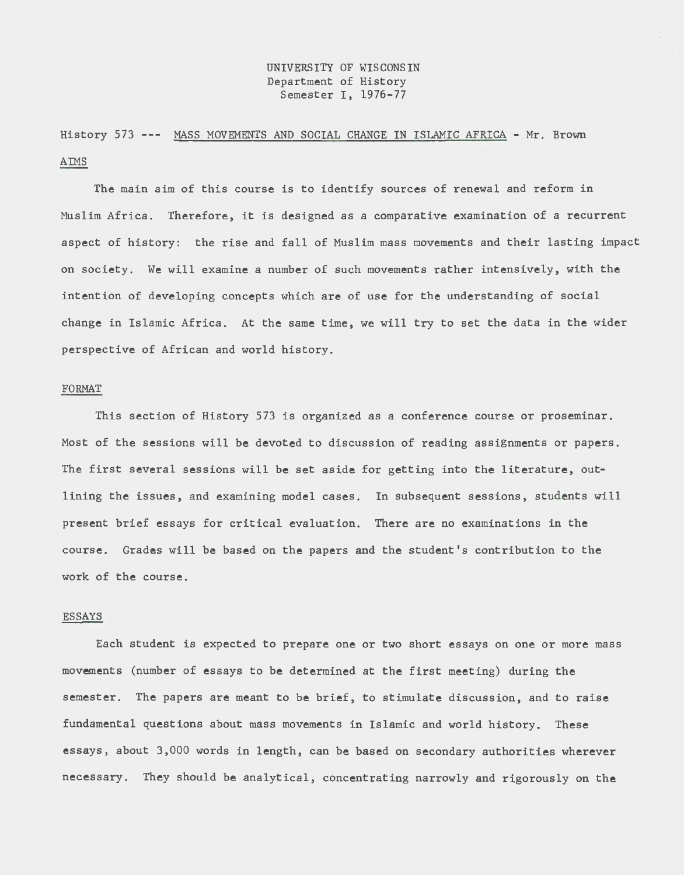## UNIVERSITY OF WISCONSIN Department of History Semester I, 1976-77

History 573 --- MASS MOVEMENTS AND SOCIAL CHANGE IN ISLAMIC AFRICA - Mr. Brown  $A<sub>MS</sub>$ 

The main aim of this course is to identify sources of renewal and reform in Muslim Africa. Therefore, it is designed as a comparative examination of a recurrent aspect of history: the rise and fall of Muslim mass movements and their lasting impact on society. We will examine a number of such movements rather intensively, with the intention of developing concepts which are of use for the understanding of social change in Islamic Africa. At the same time, we will try to set the data in the wider perspective of African and world history.

#### FORMAT

This section of History 573 is organized as a conference course or proseminar. Most of the sessions will be devoted to discussion of reading assignments or papers. The first several sessions will be set aside for getting into the literature, outlining the issues, and examining model cases. In subsequent sessions, students will present brief essays for critical evaluation. There are no examinations in the course. Grades will be based on the papers and the student's contribution to the work of the course.

### ESSAYS

Each student is expected to prepare one or two short essays on one or more mass movements (number of essays to be determined at the first meeting) during the semester. The papers are meant to be brief, to stimulate discussion, and to raise fundamental questions about mass movements in Islamic and world history. These essays, about 3,000 words in length, can be based on secondary authorities wherever necessary. They should be analytical, concentrating narrowly and rigorously on the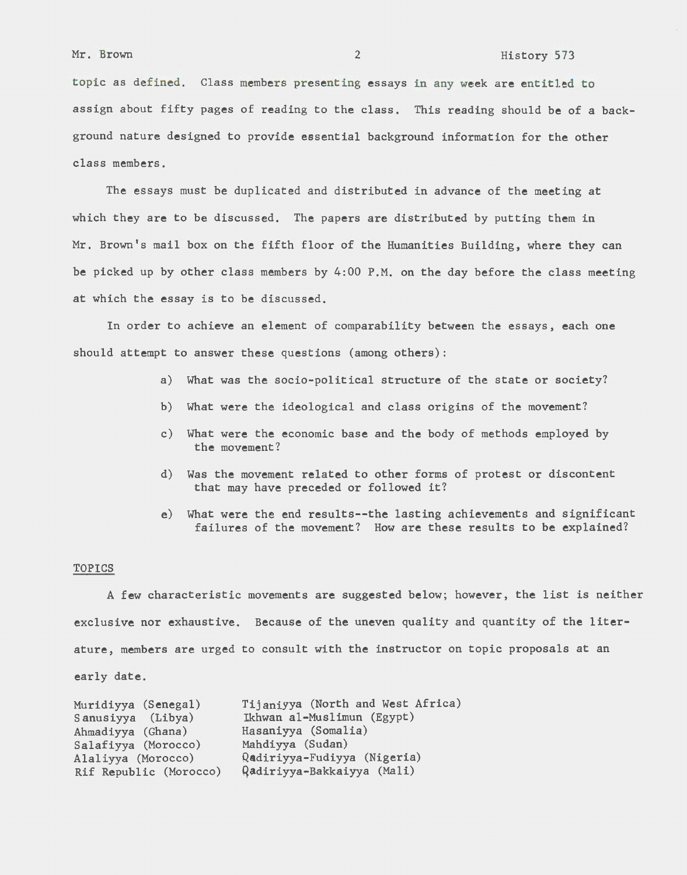topic as defined. Class members presenting essays in any week are entitled to assign about fifty pages of reading to the class. This reading should be of a background nature designed to provide essential background information for the other class members.

The essays must be duplicated and distributed in advance of the meeting at which they are to be discussed. The papers are distributed by putting them in Mr. Brown's mail box on the fifth floor of the Humanities Building, where they can be picked up by other class members by 4:00 P.M. on the day before the class meeting at which the essay is to be discussed.

In order to achieve an element of comparability between the essays, each one should attempt to answer these questions (among others):

- a) What was the socio-political structure of the state or society?
- b) What were the ideological and class origins of the movement?
- c) What were the economic base and the body of methods employed by the movement?
- d) Was the movement related to other forms of protest or discontent that may have preceded or followed it?
- e) What were the end results--the lasting achievements and significant failures of the movement? How are these results to be explained?

#### TOPICS

A few characteristic movements are suggested below; however, the list is neither exclusive nor exhaustive. Because of the uneven quality and quantity of the literature, members are urged to consult with the instructor on topic proposals at an early date.

| Muridiyya (Senegal)    | Tijaniyya (North and West Africa) |
|------------------------|-----------------------------------|
| Sanusiyya (Libya)      | Ikhwan al-Muslimun (Egypt)        |
| Ahmadiyya (Ghana)      | Hasaniyya (Somalia)               |
| Salafiyya (Morocco)    | Mahdiyya (Sudan)                  |
| Alaliyya (Morocco)     | Qadiriyya-Fudiyya (Nigeria)       |
| Rif Republic (Morocco) | Qadiriyya-Bakkaiyya (Mali)        |